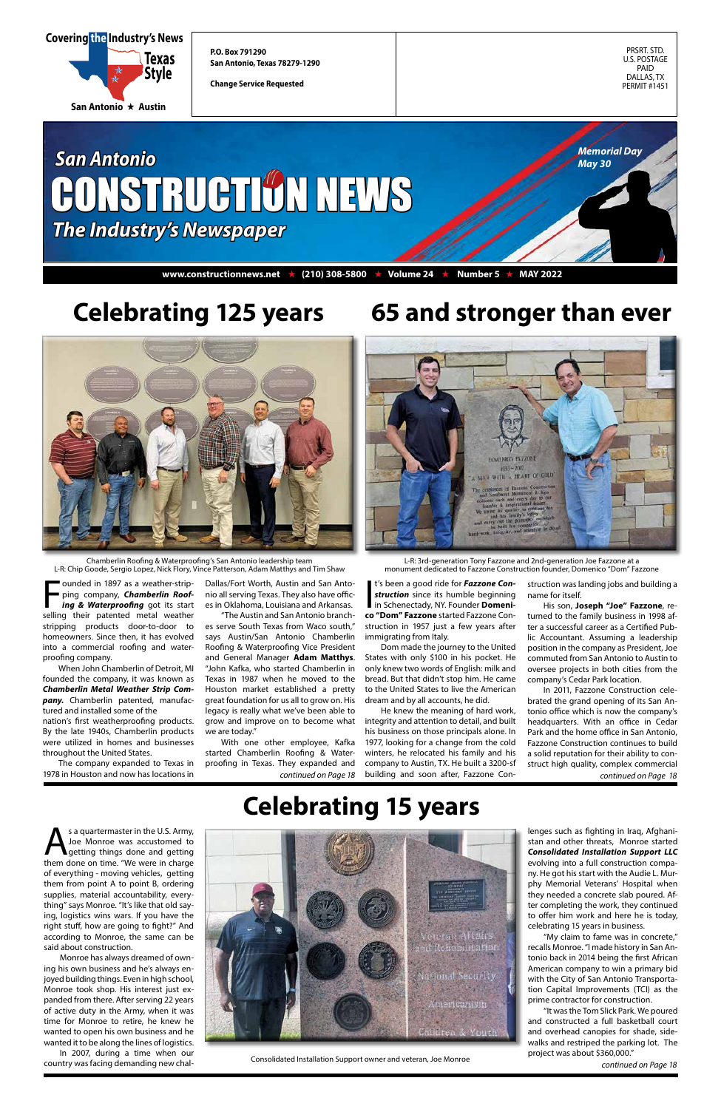PRSRT. STD. U.S. POSTAGE PAID DALLAS, TX PERMIT #1451

**P.O. Box 791290 San Antonio, Texas 78279-1290**

**Change Service Requested**





*continued on Page 18*



# **Celebrating 125 years**



Founded in 1897 as a weather-strip-<br>ping company, **Chamberlin Roof-<br>ing & Waterproofing** got its start<br>selling their patented metal weather ounded in 1897 as a weather-stripping company, *Chamberlin Roofing & Waterproofing* got its start stripping products door-to-door to homeowners. Since then, it has evolved into a commercial roofing and waterproofing company.

Chamberlin Roofing & Waterproofing's San Antonio leadership team L-R: Chip Goode, Sergio Lopez, Nick Flory, Vince Patterson, Adam Matthys and Tim Shaw

When John Chamberlin of Detroit, MI founded the company, it was known as *Chamberlin Metal Weather Strip Company.* Chamberlin patented, manufactured and installed some of the nation's first weatherproofing products. By the late 1940s, Chamberlin products were utilized in homes and businesses throughout the United States.

t's been a good ride for **Fazzone Con-**<br> **struction** since its humble beginning<br>
in Schenectady, NY. Founder **Domeni-**<br> **CO** "Dom" Eazzone started Eazzone Cont's been a good ride for *Fazzone Construction* since its humble beginning **co "Dom" Fazzone** started Fazzone Construction in 1957 just a few years after immigrating from Italy.

The company expanded to Texas in 1978 in Houston and now has locations in

Dallas/Fort Worth, Austin and San Antonio all serving Texas. They also have offices in Oklahoma, Louisiana and Arkansas.

> *continued on Page 18 continued on Page 18* building and soon after, Fazzone Con-He knew the meaning of hard work, integrity and attention to detail, and built his business on those principals alone. In 1977, looking for a change from the cold winters, he relocated his family and his company to Austin, TX. He built a 3200-sf

"The Austin and San Antonio branches serve South Texas from Waco south," says Austin/San Antonio Chamberlin Roofing & Waterproofing Vice President and General Manager **Adam Matthys**. "John Kafka, who started Chamberlin in Texas in 1987 when he moved to the Houston market established a pretty great foundation for us all to grow on. His legacy is really what we've been able to grow and improve on to become what we are today."

With one other employee, Kafka started Chamberlin Roofing & Waterproofing in Texas. They expanded and



S a quartermaster in the U.S. Army,<br>Joe Monroe was accustomed to<br>them done on time "We were in charge Joe Monroe was accustomed to them done on time. "We were in charge of everything - moving vehicles, getting them from point A to point B, ordering supplies, material accountability, everything" says Monroe. "It's like that old saying, logistics wins wars. If you have the right stuff, how are going to fight?" And according to Monroe, the same can be said about construction.

Dom made the journey to the United States with only \$100 in his pocket. He only knew two words of English: milk and bread. But that didn't stop him. He came to the United States to live the American dream and by all accounts, he did.

**65 and stronger than ever**

L-R: 3rd-generation Tony Fazzone and 2nd-generation Joe Fazzone at a monument dedicated to Fazzone Construction founder, Domenico "Dom" Fazzone

> struction was landing jobs and building a name for itself.

> His son, **Joseph "Joe" Fazzone**, returned to the family business in 1998 after a successful career as a Certified Public Accountant. Assuming a leadership position in the company as President, Joe commuted from San Antonio to Austin to oversee projects in both cities from the company's Cedar Park location.

> In 2011, Fazzone Construction celebrated the grand opening of its San Antonio office which is now the company's headquarters. With an office in Cedar Park and the home office in San Antonio, Fazzone Construction continues to build a solid reputation for their ability to construct high quality, complex commercial

Consolidated Installation Support owner and veteran, Joe Monroe

# **Celebrating 15 years**

Monroe has always dreamed of owning his own business and he's always enjoyed building things. Even in high school, Monroe took shop. His interest just expanded from there. After serving 22 years of active duty in the Army, when it was time for Monroe to retire, he knew he wanted to open his own business and he wanted it to be along the lines of logistics.

In 2007, during a time when our country was facing demanding new chal-



lenges such as fighting in Iraq, Afghanistan and other threats, Monroe started *Consolidated Installation Support LLC* evolving into a full construction company. He got his start with the Audie L. Murphy Memorial Veterans' Hospital when they needed a concrete slab poured. After completing the work, they continued to offer him work and here he is today, celebrating 15 years in business.

"My claim to fame was in concrete," recalls Monroe. "I made history in San Antonio back in 2014 being the first African American company to win a primary bid with the City of San Antonio Transportation Capital Improvements (TCI) as the prime contractor for construction.

"It was the Tom Slick Park. We poured and constructed a full basketball court and overhead canopies for shade, sidewalks and restriped the parking lot. The project was about \$360,000."